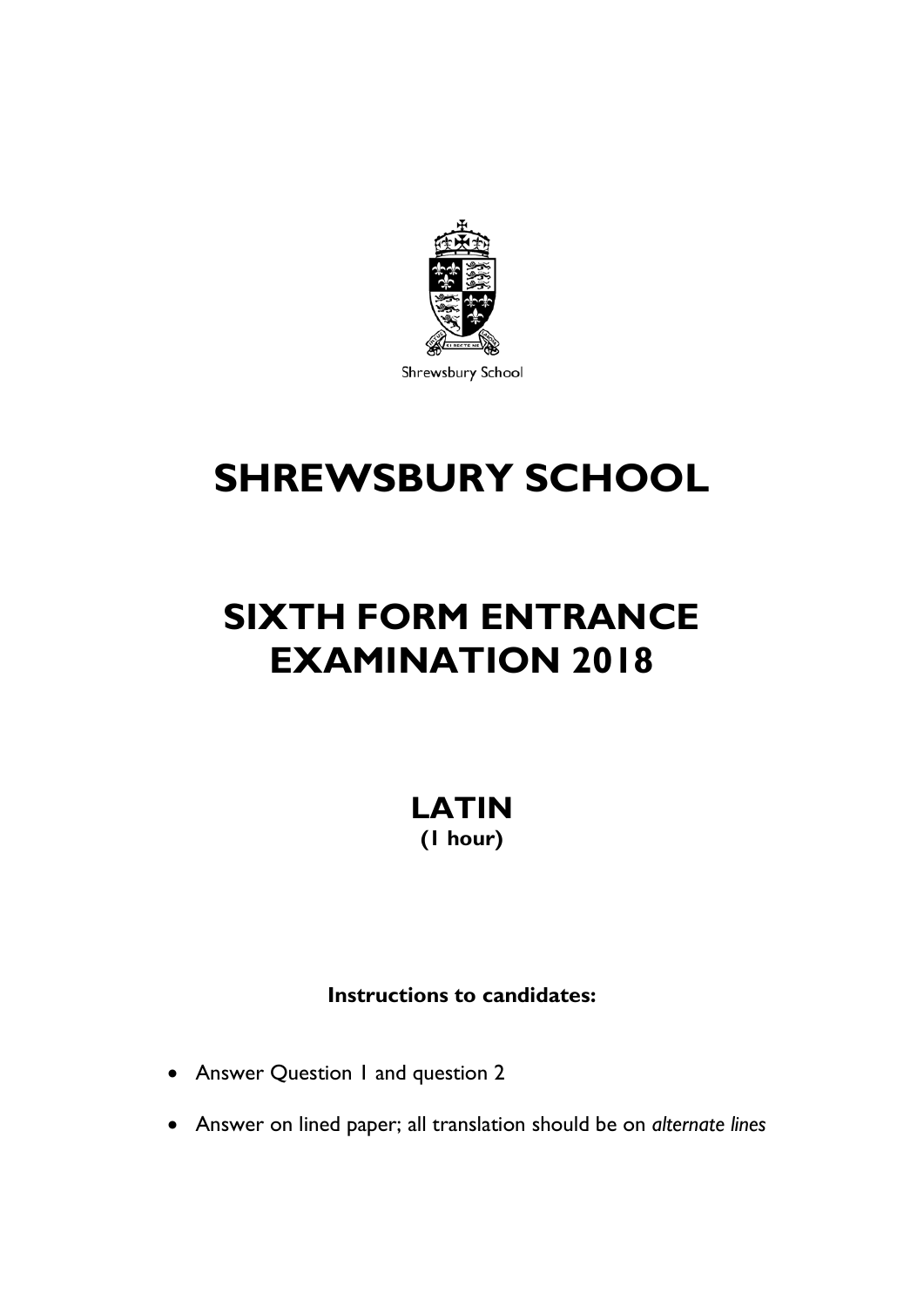

Shrewsbury School

# **SHREWSBURY SCHOOL**

## **SIXTH FORM ENTRANCE EXAMINATION 2018**

**LATIN (1 hour)**

**Instructions to candidates:**

- Answer Question 1 and question 2
- Answer on lined paper; all translation should be on *alternate lines*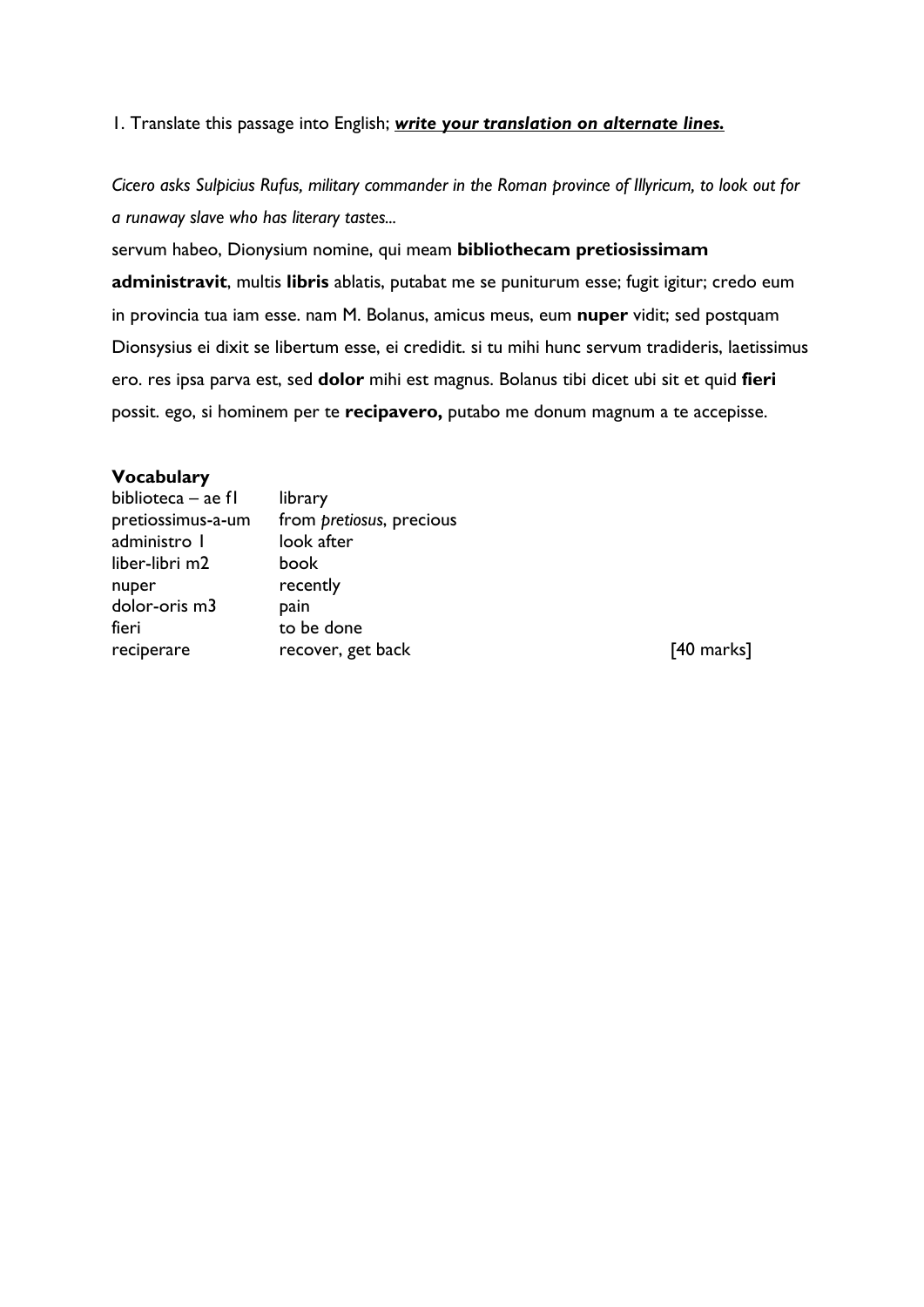#### 1. Translate this passage into English; *write your translation on alternate lines.*

*Cicero asks Sulpicius Rufus, military commander in the Roman province of Illyricum, to look out for a runaway slave who has literary tastes...*

servum habeo, Dionysium nomine, qui meam **bibliothecam pretiosissimam administravit**, multis **libris** ablatis, putabat me se puniturum esse; fugit igitur; credo eum in provincia tua iam esse. nam M. Bolanus, amicus meus, eum **nuper** vidit; sed postquam Dionsysius ei dixit se libertum esse, ei credidit. si tu mihi hunc servum tradideris, laetissimus ero. res ipsa parva est, sed **dolor** mihi est magnus. Bolanus tibi dicet ubi sit et quid **fieri** possit. ego, si hominem per te **recipavero,** putabo me donum magnum a te accepisse.

#### **Vocabulary**

| biblioteca – ae fl | library                  |
|--------------------|--------------------------|
| pretiossimus-a-um  | from pretiosus, precious |
| administro I       | look after               |
| liber-libri m2     | book                     |
| nuper              | recently                 |
| dolor-oris m3      | pain                     |
| fieri              | to be done               |
| reciperare         | recover, get back        |

 $[40$  marks]